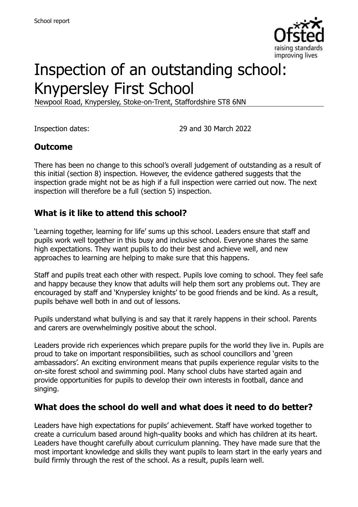

# Inspection of an outstanding school: Knypersley First School

Newpool Road, Knypersley, Stoke-on-Trent, Staffordshire ST8 6NN

Inspection dates: 29 and 30 March 2022

#### **Outcome**

There has been no change to this school's overall judgement of outstanding as a result of this initial (section 8) inspection. However, the evidence gathered suggests that the inspection grade might not be as high if a full inspection were carried out now. The next inspection will therefore be a full (section 5) inspection.

#### **What is it like to attend this school?**

'Learning together, learning for life' sums up this school. Leaders ensure that staff and pupils work well together in this busy and inclusive school. Everyone shares the same high expectations. They want pupils to do their best and achieve well, and new approaches to learning are helping to make sure that this happens.

Staff and pupils treat each other with respect. Pupils love coming to school. They feel safe and happy because they know that adults will help them sort any problems out. They are encouraged by staff and 'Knypersley knights' to be good friends and be kind. As a result, pupils behave well both in and out of lessons.

Pupils understand what bullying is and say that it rarely happens in their school. Parents and carers are overwhelmingly positive about the school.

Leaders provide rich experiences which prepare pupils for the world they live in. Pupils are proud to take on important responsibilities, such as school councillors and 'green ambassadors'. An exciting environment means that pupils experience regular visits to the on-site forest school and swimming pool. Many school clubs have started again and provide opportunities for pupils to develop their own interests in football, dance and singing.

#### **What does the school do well and what does it need to do better?**

Leaders have high expectations for pupils' achievement. Staff have worked together to create a curriculum based around high-quality books and which has children at its heart. Leaders have thought carefully about curriculum planning. They have made sure that the most important knowledge and skills they want pupils to learn start in the early years and build firmly through the rest of the school. As a result, pupils learn well.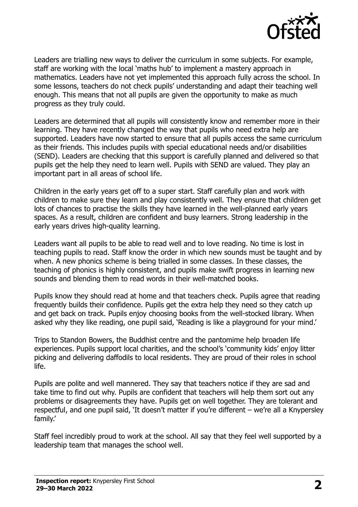

Leaders are trialling new ways to deliver the curriculum in some subjects. For example, staff are working with the local 'maths hub' to implement a mastery approach in mathematics. Leaders have not yet implemented this approach fully across the school. In some lessons, teachers do not check pupils' understanding and adapt their teaching well enough. This means that not all pupils are given the opportunity to make as much progress as they truly could.

Leaders are determined that all pupils will consistently know and remember more in their learning. They have recently changed the way that pupils who need extra help are supported. Leaders have now started to ensure that all pupils access the same curriculum as their friends. This includes pupils with special educational needs and/or disabilities (SEND). Leaders are checking that this support is carefully planned and delivered so that pupils get the help they need to learn well. Pupils with SEND are valued. They play an important part in all areas of school life.

Children in the early years get off to a super start. Staff carefully plan and work with children to make sure they learn and play consistently well. They ensure that children get lots of chances to practise the skills they have learned in the well-planned early years spaces. As a result, children are confident and busy learners. Strong leadership in the early years drives high-quality learning.

Leaders want all pupils to be able to read well and to love reading. No time is lost in teaching pupils to read. Staff know the order in which new sounds must be taught and by when. A new phonics scheme is being trialled in some classes. In these classes, the teaching of phonics is highly consistent, and pupils make swift progress in learning new sounds and blending them to read words in their well-matched books.

Pupils know they should read at home and that teachers check. Pupils agree that reading frequently builds their confidence. Pupils get the extra help they need so they catch up and get back on track. Pupils enjoy choosing books from the well-stocked library. When asked why they like reading, one pupil said, 'Reading is like a playground for your mind.'

Trips to Standon Bowers, the Buddhist centre and the pantomime help broaden life experiences. Pupils support local charities, and the school's 'community kids' enjoy litter picking and delivering daffodils to local residents. They are proud of their roles in school life.

Pupils are polite and well mannered. They say that teachers notice if they are sad and take time to find out why. Pupils are confident that teachers will help them sort out any problems or disagreements they have. Pupils get on well together. They are tolerant and respectful, and one pupil said, 'It doesn't matter if you're different – we're all a Knypersley family.'

Staff feel incredibly proud to work at the school. All say that they feel well supported by a leadership team that manages the school well.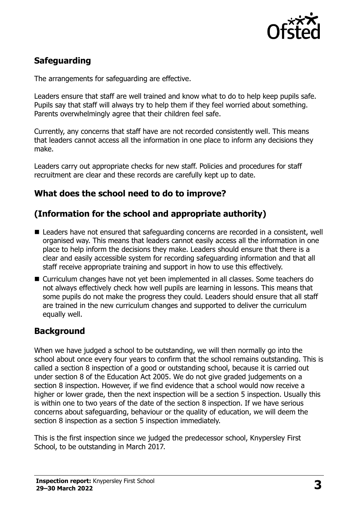

## **Safeguarding**

The arrangements for safeguarding are effective.

Leaders ensure that staff are well trained and know what to do to help keep pupils safe. Pupils say that staff will always try to help them if they feel worried about something. Parents overwhelmingly agree that their children feel safe.

Currently, any concerns that staff have are not recorded consistently well. This means that leaders cannot access all the information in one place to inform any decisions they make.

Leaders carry out appropriate checks for new staff. Policies and procedures for staff recruitment are clear and these records are carefully kept up to date.

## **What does the school need to do to improve?**

## **(Information for the school and appropriate authority)**

- Leaders have not ensured that safeguarding concerns are recorded in a consistent, well organised way. This means that leaders cannot easily access all the information in one place to help inform the decisions they make. Leaders should ensure that there is a clear and easily accessible system for recording safeguarding information and that all staff receive appropriate training and support in how to use this effectively.
- Curriculum changes have not yet been implemented in all classes. Some teachers do not always effectively check how well pupils are learning in lessons. This means that some pupils do not make the progress they could. Leaders should ensure that all staff are trained in the new curriculum changes and supported to deliver the curriculum equally well.

## **Background**

When we have judged a school to be outstanding, we will then normally go into the school about once every four years to confirm that the school remains outstanding. This is called a section 8 inspection of a good or outstanding school, because it is carried out under section 8 of the Education Act 2005. We do not give graded judgements on a section 8 inspection. However, if we find evidence that a school would now receive a higher or lower grade, then the next inspection will be a section 5 inspection. Usually this is within one to two years of the date of the section 8 inspection. If we have serious concerns about safeguarding, behaviour or the quality of education, we will deem the section 8 inspection as a section 5 inspection immediately.

This is the first inspection since we judged the predecessor school, Knypersley First School, to be outstanding in March 2017.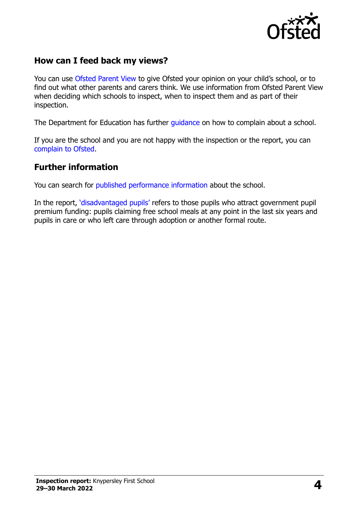

## **How can I feed back my views?**

You can use [Ofsted Parent View](https://parentview.ofsted.gov.uk/) to give Ofsted your opinion on your child's school, or to find out what other parents and carers think. We use information from Ofsted Parent View when deciding which schools to inspect, when to inspect them and as part of their inspection.

The Department for Education has further quidance on how to complain about a school.

If you are the school and you are not happy with the inspection or the report, you can [complain to Ofsted.](https://www.gov.uk/complain-ofsted-report)

#### **Further information**

You can search for [published performance information](http://www.compare-school-performance.service.gov.uk/) about the school.

In the report, '[disadvantaged pupils](http://www.gov.uk/guidance/pupil-premium-information-for-schools-and-alternative-provision-settings)' refers to those pupils who attract government pupil premium funding: pupils claiming free school meals at any point in the last six years and pupils in care or who left care through adoption or another formal route.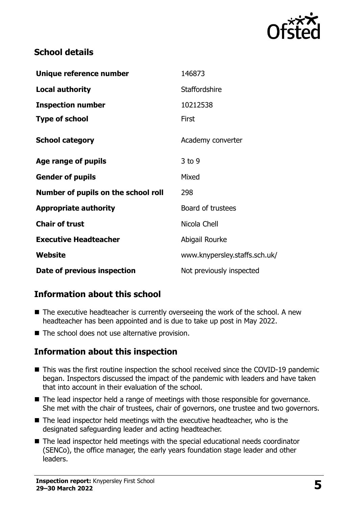

## **School details**

| Unique reference number             | 146873                        |
|-------------------------------------|-------------------------------|
| <b>Local authority</b>              | <b>Staffordshire</b>          |
| <b>Inspection number</b>            | 10212538                      |
| <b>Type of school</b>               | <b>First</b>                  |
| <b>School category</b>              | Academy converter             |
| Age range of pupils                 | $3$ to 9                      |
| <b>Gender of pupils</b>             | Mixed                         |
| Number of pupils on the school roll | 298                           |
| <b>Appropriate authority</b>        | Board of trustees             |
| <b>Chair of trust</b>               | Nicola Chell                  |
| <b>Executive Headteacher</b>        | Abigail Rourke                |
| Website                             | www.knypersley.staffs.sch.uk/ |
| Date of previous inspection         | Not previously inspected      |

## **Information about this school**

- The executive headteacher is currently overseeing the work of the school. A new headteacher has been appointed and is due to take up post in May 2022.
- The school does not use alternative provision.

## **Information about this inspection**

- This was the first routine inspection the school received since the COVID-19 pandemic began. Inspectors discussed the impact of the pandemic with leaders and have taken that into account in their evaluation of the school.
- The lead inspector held a range of meetings with those responsible for governance. She met with the chair of trustees, chair of governors, one trustee and two governors.
- The lead inspector held meetings with the executive headteacher, who is the designated safeguarding leader and acting headteacher.
- The lead inspector held meetings with the special educational needs coordinator (SENCo), the office manager, the early years foundation stage leader and other leaders.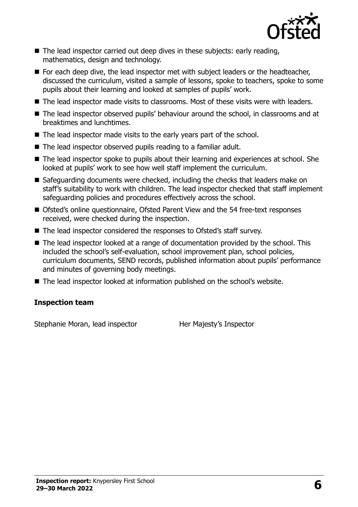

- The lead inspector carried out deep dives in these subjects: early reading, mathematics, design and technology.
- For each deep dive, the lead inspector met with subject leaders or the headteacher, discussed the curriculum, visited a sample of lessons, spoke to teachers, spoke to some pupils about their learning and looked at samples of pupils' work.
- The lead inspector made visits to classrooms. Most of these visits were with leaders.
- The lead inspector observed pupils' behaviour around the school, in classrooms and at breaktimes and lunchtimes.
- The lead inspector made visits to the early years part of the school.
- The lead inspector observed pupils reading to a familiar adult.
- The lead inspector spoke to pupils about their learning and experiences at school. She looked at pupils' work to see how well staff implement the curriculum.
- Safeguarding documents were checked, including the checks that leaders make on staff's suitability to work with children. The lead inspector checked that staff implement safeguarding policies and procedures effectively across the school.
- Ofsted's online questionnaire, Ofsted Parent View and the 54 free-text responses received, were checked during the inspection.
- The lead inspector considered the responses to Ofsted's staff survey.
- The lead inspector looked at a range of documentation provided by the school. This included the school's self-evaluation, school improvement plan, school policies, curriculum documents, SEND records, published information about pupils' performance and minutes of governing body meetings.
- The lead inspector looked at information published on the school's website.

#### **Inspection team**

Stephanie Moran, lead inspector **Her Majesty's Inspector**